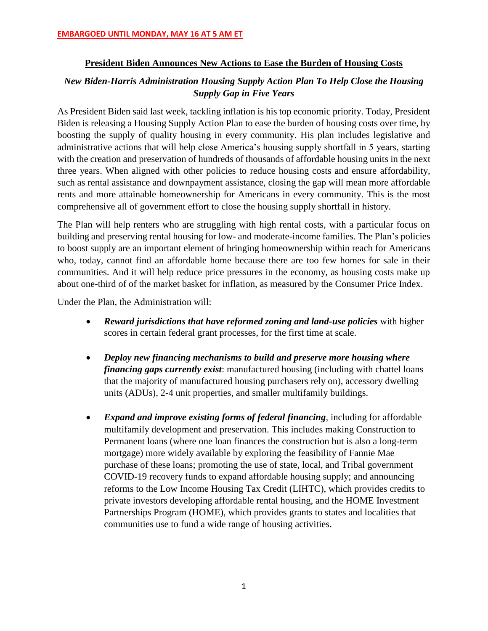### **President Biden Announces New Actions to Ease the Burden of Housing Costs**

# *New Biden-Harris Administration Housing Supply Action Plan To Help Close the Housing Supply Gap in Five Years*

As President Biden said last week, tackling inflation is his top economic priority. Today, President Biden is releasing a Housing Supply Action Plan to ease the burden of housing costs over time, by boosting the supply of quality housing in every community. His plan includes legislative and administrative actions that will help close America's housing supply shortfall in 5 years, starting with the creation and preservation of hundreds of thousands of affordable housing units in the next three years. When aligned with other policies to reduce housing costs and ensure affordability, such as rental assistance and downpayment assistance, closing the gap will mean more affordable rents and more attainable homeownership for Americans in every community. This is the most comprehensive all of government effort to close the housing supply shortfall in history.

The Plan will help renters who are struggling with high rental costs, with a particular focus on building and preserving rental housing for low- and moderate-income families. The Plan's policies to boost supply are an important element of bringing homeownership within reach for Americans who, today, cannot find an affordable home because there are too few homes for sale in their communities. And it will help reduce price pressures in the economy, as housing costs make up about one-third of of the market basket for inflation, as measured by the Consumer Price Index.

Under the Plan, the Administration will:

- *Reward jurisdictions that have reformed zoning and land-use policies* with higher scores in certain federal grant processes, for the first time at scale.
- *Deploy new financing mechanisms to build and preserve more housing where financing gaps currently exist*: manufactured housing (including with chattel loans that the majority of manufactured housing purchasers rely on), accessory dwelling units (ADUs), 2-4 unit properties, and smaller multifamily buildings.
- *Expand and improve existing forms of federal financing*, including for affordable multifamily development and preservation. This includes making Construction to Permanent loans (where one loan finances the construction but is also a long-term mortgage) more widely available by exploring the feasibility of Fannie Mae purchase of these loans; promoting the use of state, local, and Tribal government COVID-19 recovery funds to expand affordable housing supply; and announcing reforms to the Low Income Housing Tax Credit (LIHTC), which provides credits to private investors developing affordable rental housing, and the HOME Investment Partnerships Program (HOME), which provides grants to states and localities that communities use to fund a wide range of housing activities.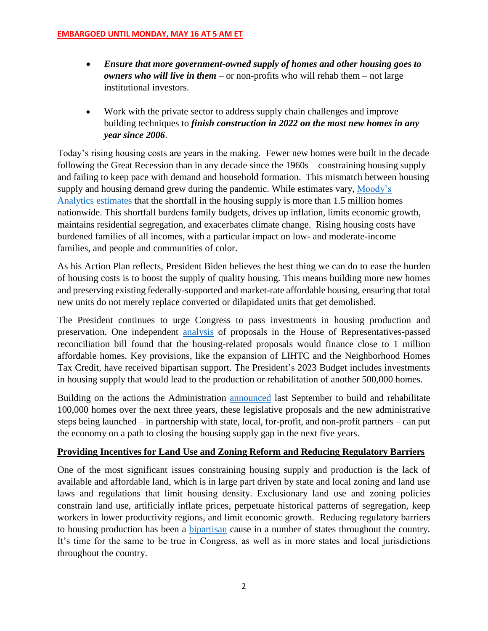- *Ensure that more government-owned supply of homes and other housing goes to owners who will live in them* – or non-profits who will rehab them – not large institutional investors.
- Work with the private sector to address supply chain challenges and improve building techniques to *finish construction in 2022 on the most new homes in any year since 2006*.

Today's rising housing costs are years in the making. Fewer new homes were built in the decade following the Great Recession than in any decade since the 1960s – constraining housing supply and failing to keep pace with demand and household formation. This mismatch between housing supply and housing demand grew during the pandemic. While estimates vary, [Moody's](https://www.moodysanalytics.com/-/media/article/2021/Overcoming-the-Nations-Housing-Supply-Shortage.pdf)  [Analytics estimates](https://www.moodysanalytics.com/-/media/article/2021/Overcoming-the-Nations-Housing-Supply-Shortage.pdf) that the shortfall in the housing supply is more than 1.5 million homes nationwide. This shortfall burdens family budgets, drives up inflation, limits economic growth, maintains residential segregation, and exacerbates climate change. Rising housing costs have burdened families of all incomes, with a particular impact on low- and moderate-income families, and people and communities of color.

As his Action Plan reflects, President Biden believes the best thing we can do to ease the burden of housing costs is to boost the supply of quality housing. This means building more new homes and preserving existing federally-supported and market-rate affordable housing, ensuring that total new units do not merely replace converted or dilapidated units that get demolished.

The President continues to urge Congress to pass investments in housing production and preservation. One independent [analysis](https://www.novoco.com/notes-from-novogradac/more-12-billion-lihtc-provisions-and-nearly-6-billion-neighborhood-homes-tax-credits-nov-3-draft) of proposals in the House of Representatives-passed reconciliation bill found that the housing-related proposals would finance close to 1 million affordable homes. Key provisions, like the expansion of LIHTC and the Neighborhood Homes Tax Credit, have received bipartisan support. The President's 2023 Budget includes investments in housing supply that would lead to the production or rehabilitation of another 500,000 homes.

Building on the actions the Administration [announced](https://www.whitehouse.gov/briefing-room/statements-releases/2021/09/01/fact-sheet-biden-harris-administration-announces-immediate-steps-to-increase-affordable-housing-supply/) last September to build and rehabilitate 100,000 homes over the next three years, these legislative proposals and the new administrative steps being launched – in partnership with state, local, for-profit, and non-profit partners – can put the economy on a path to closing the housing supply gap in the next five years.

# **Providing Incentives for Land Use and Zoning Reform and Reducing Regulatory Barriers**

One of the most significant issues constraining housing supply and production is the lack of available and affordable land, which is in large part driven by state and local zoning and land use laws and regulations that limit housing density. Exclusionary land use and zoning policies constrain land use, artificially inflate prices, perpetuate historical patterns of segregation, keep workers in lower productivity regions, and limit economic growth. Reducing regulatory barriers to housing production has been a [bipartisan](https://www.bloomberg.com/news/articles/2019-02-20/utah-pro-housing-bill-is-zoning-reform-red-state-style) cause in a number of states throughout the country. It's time for the same to be true in Congress, as well as in more states and local jurisdictions throughout the country.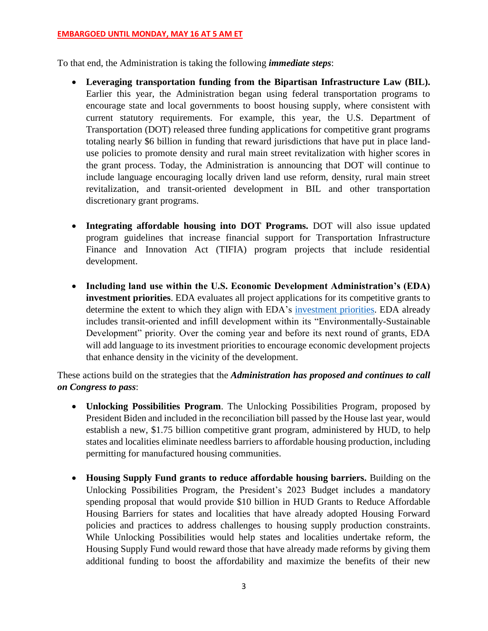To that end, the Administration is taking the following *immediate steps*:

- **Leveraging transportation funding from the Bipartisan Infrastructure Law (BIL).** Earlier this year, the Administration began using federal transportation programs to encourage state and local governments to boost housing supply, where consistent with current statutory requirements. For example, this year, the U.S. Department of Transportation (DOT) released three funding applications for competitive grant programs totaling nearly \$6 billion in funding that reward jurisdictions that have put in place landuse policies to promote density and rural main street revitalization with higher scores in the grant process. Today, the Administration is announcing that DOT will continue to include language encouraging locally driven land use reform, density, rural main street revitalization, and transit-oriented development in BIL and other transportation discretionary grant programs.
- **Integrating affordable housing into DOT Programs.** DOT will also issue updated program guidelines that increase financial support for Transportation Infrastructure Finance and Innovation Act (TIFIA) program projects that include residential development.
- **Including land use within the U.S. Economic Development Administration's (EDA) investment priorities**. EDA evaluates all project applications for its competitive grants to determine the extent to which they align with EDA's [investment priorities.](https://eda.gov/about/investment-priorities/) EDA already includes transit-oriented and infill development within its "Environmentally-Sustainable Development" priority. Over the coming year and before its next round of grants, EDA will add language to its investment priorities to encourage economic development projects that enhance density in the vicinity of the development.

These actions build on the strategies that the *Administration has proposed and continues to call on Congress to pass*:

- **Unlocking Possibilities Program**. The Unlocking Possibilities Program, proposed by President Biden and included in the reconciliation bill passed by the House last year, would establish a new, \$1.75 billion competitive grant program, administered by HUD, to help states and localities eliminate needless barriers to affordable housing production, including permitting for manufactured housing communities.
- **Housing Supply Fund grants to reduce affordable housing barriers.** Building on the Unlocking Possibilities Program, the President's 2023 Budget includes a mandatory spending proposal that would provide \$10 billion in HUD Grants to Reduce Affordable Housing Barriers for states and localities that have already adopted Housing Forward policies and practices to address challenges to housing supply production constraints. While Unlocking Possibilities would help states and localities undertake reform, the Housing Supply Fund would reward those that have already made reforms by giving them additional funding to boost the affordability and maximize the benefits of their new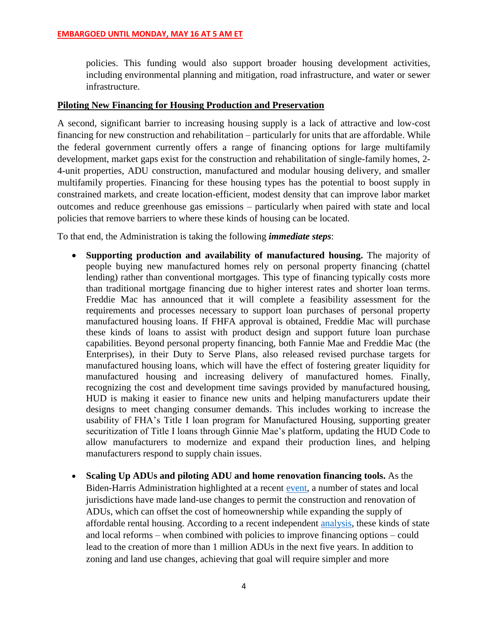policies. This funding would also support broader housing development activities, including environmental planning and mitigation, road infrastructure, and water or sewer infrastructure.

### **Piloting New Financing for Housing Production and Preservation**

A second, significant barrier to increasing housing supply is a lack of attractive and low-cost financing for new construction and rehabilitation – particularly for units that are affordable. While the federal government currently offers a range of financing options for large multifamily development, market gaps exist for the construction and rehabilitation of single-family homes, 2- 4-unit properties, ADU construction, manufactured and modular housing delivery, and smaller multifamily properties. Financing for these housing types has the potential to boost supply in constrained markets, and create location-efficient, modest density that can improve labor market outcomes and reduce greenhouse gas emissions – particularly when paired with state and local policies that remove barriers to where these kinds of housing can be located.

To that end, the Administration is taking the following *immediate steps*:

- **Supporting production and availability of manufactured housing.** The majority of people buying new manufactured homes rely on personal property financing (chattel lending) rather than conventional mortgages. This type of financing typically costs more than traditional mortgage financing due to higher interest rates and shorter loan terms. Freddie Mac has announced that it will complete a feasibility assessment for the requirements and processes necessary to support loan purchases of personal property manufactured housing loans. If FHFA approval is obtained, Freddie Mac will purchase these kinds of loans to assist with product design and support future loan purchase capabilities. Beyond personal property financing, both Fannie Mae and Freddie Mac (the Enterprises), in their Duty to Serve Plans, also released revised purchase targets for manufactured housing loans, which will have the effect of fostering greater liquidity for manufactured housing and increasing delivery of manufactured homes. Finally, recognizing the cost and development time savings provided by manufactured housing, HUD is making it easier to finance new units and helping manufacturers update their designs to meet changing consumer demands. This includes working to increase the usability of FHA's Title I loan program for Manufactured Housing, supporting greater securitization of Title I loans through Ginnie Mae's platform, updating the HUD Code to allow manufacturers to modernize and expand their production lines, and helping manufacturers respond to supply chain issues.
- **Scaling Up ADUs and piloting ADU and home renovation financing tools.** As the Biden-Harris Administration highlighted at a recent [event,](https://www.youtube.com/watch?v=C-vzPIHUTts) a number of states and local jurisdictions have made land-use changes to permit the construction and renovation of ADUs, which can offset the cost of homeownership while expanding the supply of affordable rental housing. According to a recent independent [analysis,](https://www.urban.org/sites/default/files/publication/105265/the-role-of-single-family-housing-production-and-preservation-in-addressing-the-affordable-housing-supply-shortage.pdf) these kinds of state and local reforms – when combined with policies to improve financing options – could lead to the creation of more than 1 million ADUs in the next five years. In addition to zoning and land use changes, achieving that goal will require simpler and more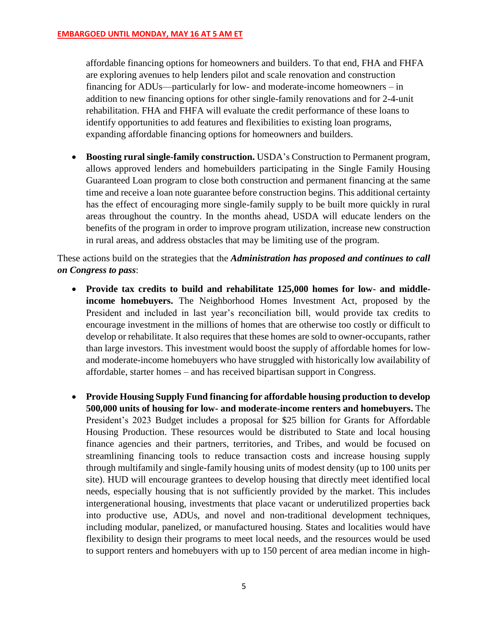affordable financing options for homeowners and builders. To that end, FHA and FHFA are exploring avenues to help lenders pilot and scale renovation and construction financing for ADUs—particularly for low- and moderate-income homeowners – in addition to new financing options for other single-family renovations and for 2-4-unit rehabilitation. FHA and FHFA will evaluate the credit performance of these loans to identify opportunities to add features and flexibilities to existing loan programs, expanding affordable financing options for homeowners and builders.

• **Boosting rural single-family construction.** USDA's Construction to Permanent program, allows approved lenders and homebuilders participating in the Single Family Housing Guaranteed Loan program to close both construction and permanent financing at the same time and receive a loan note guarantee before construction begins. This additional certainty has the effect of encouraging more single-family supply to be built more quickly in rural areas throughout the country. In the months ahead, USDA will educate lenders on the benefits of the program in order to improve program utilization, increase new construction in rural areas, and address obstacles that may be limiting use of the program.

These actions build on the strategies that the *Administration has proposed and continues to call on Congress to pass*:

- **Provide tax credits to build and rehabilitate 125,000 homes for low- and middleincome homebuyers.** The Neighborhood Homes Investment Act, proposed by the President and included in last year's reconciliation bill, would provide tax credits to encourage investment in the millions of homes that are otherwise too costly or difficult to develop or rehabilitate. It also requires that these homes are sold to owner-occupants, rather than large investors. This investment would boost the supply of affordable homes for lowand moderate-income homebuyers who have struggled with historically low availability of affordable, starter homes – and has received bipartisan support in Congress.
- **Provide Housing Supply Fund financing for affordable housing production to develop 500,000 units of housing for low- and moderate-income renters and homebuyers.** The President's 2023 Budget includes a proposal for \$25 billion for Grants for Affordable Housing Production. These resources would be distributed to State and local housing finance agencies and their partners, territories, and Tribes, and would be focused on streamlining financing tools to reduce transaction costs and increase housing supply through multifamily and single-family housing units of modest density (up to 100 units per site). HUD will encourage grantees to develop housing that directly meet identified local needs, especially housing that is not sufficiently provided by the market. This includes intergenerational housing, investments that place vacant or underutilized properties back into productive use, ADUs, and novel and non-traditional development techniques, including modular, panelized, or manufactured housing. States and localities would have flexibility to design their programs to meet local needs, and the resources would be used to support renters and homebuyers with up to 150 percent of area median income in high-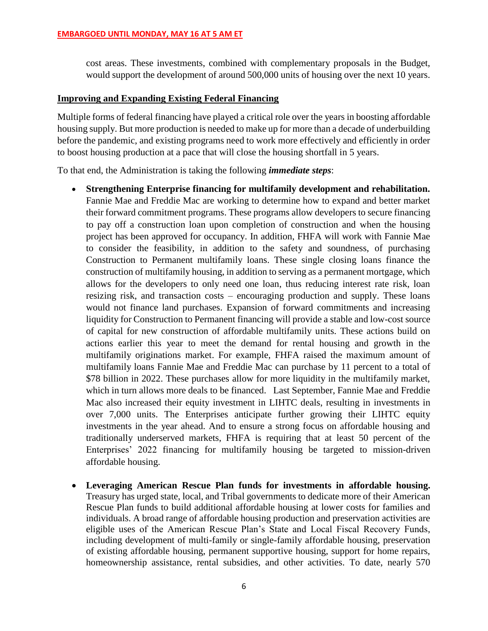cost areas. These investments, combined with complementary proposals in the Budget, would support the development of around 500,000 units of housing over the next 10 years.

### **Improving and Expanding Existing Federal Financing**

Multiple forms of federal financing have played a critical role over the years in boosting affordable housing supply. But more production is needed to make up for more than a decade of underbuilding before the pandemic, and existing programs need to work more effectively and efficiently in order to boost housing production at a pace that will close the housing shortfall in 5 years.

To that end, the Administration is taking the following *immediate steps*:

- **Strengthening Enterprise financing for multifamily development and rehabilitation.**  Fannie Mae and Freddie Mac are working to determine how to expand and better market their forward commitment programs. These programs allow developers to secure financing to pay off a construction loan upon completion of construction and when the housing project has been approved for occupancy. In addition, FHFA will work with Fannie Mae to consider the feasibility, in addition to the safety and soundness, of purchasing Construction to Permanent multifamily loans. These single closing loans finance the construction of multifamily housing, in addition to serving as a permanent mortgage, which allows for the developers to only need one loan, thus reducing interest rate risk, loan resizing risk, and transaction costs – encouraging production and supply. These loans would not finance land purchases. Expansion of forward commitments and increasing liquidity for Construction to Permanent financing will provide a stable and low-cost source of capital for new construction of affordable multifamily units. These actions build on actions earlier this year to meet the demand for rental housing and growth in the multifamily originations market. For example, FHFA raised the maximum amount of multifamily loans Fannie Mae and Freddie Mac can purchase by 11 percent to a total of \$78 billion in 2022. These purchases allow for more liquidity in the multifamily market, which in turn allows more deals to be financed. Last September, Fannie Mae and Freddie Mac also increased their equity investment in LIHTC deals, resulting in investments in over 7,000 units. The Enterprises anticipate further growing their LIHTC equity investments in the year ahead. And to ensure a strong focus on affordable housing and traditionally underserved markets, FHFA is requiring that at least 50 percent of the Enterprises' 2022 financing for multifamily housing be targeted to mission-driven affordable housing.
- **Leveraging American Rescue Plan funds for investments in affordable housing.**  Treasury has urged state, local, and Tribal governments to dedicate more of their American Rescue Plan funds to build additional affordable housing at lower costs for families and individuals. A broad range of affordable housing production and preservation activities are eligible uses of the American Rescue Plan's State and Local Fiscal Recovery Funds, including development of multi-family or single-family affordable housing, preservation of existing affordable housing, permanent supportive housing, support for home repairs, homeownership assistance, rental subsidies, and other activities. To date, nearly 570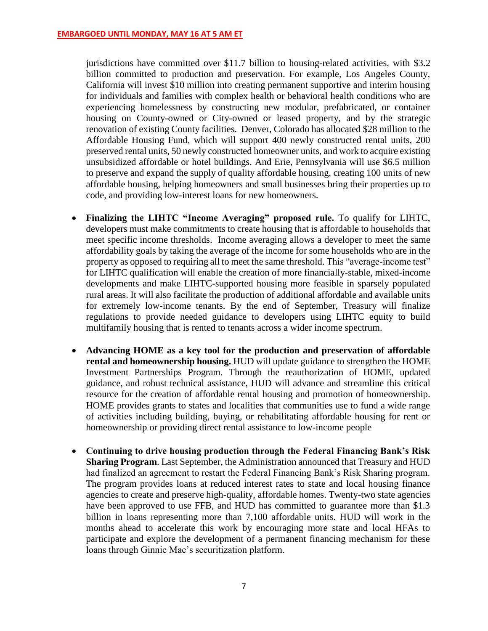jurisdictions have committed over \$11.7 billion to housing-related activities, with \$3.2 billion committed to production and preservation. For example, Los Angeles County, California will invest \$10 million into creating permanent supportive and interim housing for individuals and families with complex health or behavioral health conditions who are experiencing homelessness by constructing new modular, prefabricated, or container housing on County-owned or City-owned or leased property, and by the strategic renovation of existing County facilities. Denver, Colorado has allocated \$28 million to the Affordable Housing Fund, which will support 400 newly constructed rental units, 200 preserved rental units, 50 newly constructed homeowner units, and work to acquire existing unsubsidized affordable or hotel buildings. And Erie, Pennsylvania will use \$6.5 million to preserve and expand the supply of quality affordable housing, creating 100 units of new affordable housing, helping homeowners and small businesses bring their properties up to code, and providing low-interest loans for new homeowners.

- **Finalizing the LIHTC "Income Averaging" proposed rule.** To qualify for LIHTC, developers must make commitments to create housing that is affordable to households that meet specific income thresholds. Income averaging allows a developer to meet the same affordability goals by taking the average of the income for some households who are in the property as opposed to requiring all to meet the same threshold. This "average-income test" for LIHTC qualification will enable the creation of more financially-stable, mixed-income developments and make LIHTC-supported housing more feasible in sparsely populated rural areas. It will also facilitate the production of additional affordable and available units for extremely low-income tenants. By the end of September, Treasury will finalize regulations to provide needed guidance to developers using LIHTC equity to build multifamily housing that is rented to tenants across a wider income spectrum.
- **Advancing HOME as a key tool for the production and preservation of affordable rental and homeownership housing.** HUD will update guidance to strengthen the HOME Investment Partnerships Program. Through the reauthorization of HOME, updated guidance, and robust technical assistance, HUD will advance and streamline this critical resource for the creation of affordable rental housing and promotion of homeownership. HOME provides grants to states and localities that communities use to fund a wide range of activities including building, buying, or rehabilitating affordable housing for rent or homeownership or providing direct rental assistance to low-income people
- **Continuing to drive housing production through the Federal Financing Bank's Risk Sharing Program**. Last September, the Administration announced that Treasury and HUD had finalized an agreement to restart the Federal Financing Bank's Risk Sharing program. The program provides loans at reduced interest rates to state and local housing finance agencies to create and preserve high-quality, affordable homes. Twenty-two state agencies have been approved to use FFB, and HUD has committed to guarantee more than \$1.3 billion in loans representing more than 7,100 affordable units. HUD will work in the months ahead to accelerate this work by encouraging more state and local HFAs to participate and explore the development of a permanent financing mechanism for these loans through Ginnie Mae's securitization platform.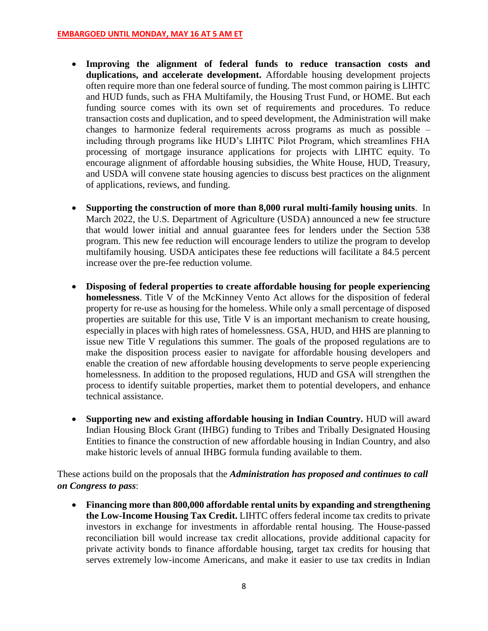- **Improving the alignment of federal funds to reduce transaction costs and duplications, and accelerate development.** Affordable housing development projects often require more than one federal source of funding. The most common pairing is LIHTC and HUD funds, such as FHA Multifamily, the Housing Trust Fund, or HOME. But each funding source comes with its own set of requirements and procedures. To reduce transaction costs and duplication, and to speed development, the Administration will make changes to harmonize federal requirements across programs as much as possible – including through programs like HUD's LIHTC Pilot Program, which streamlines FHA processing of mortgage insurance applications for projects with LIHTC equity. To encourage alignment of affordable housing subsidies, the White House, HUD, Treasury, and USDA will convene state housing agencies to discuss best practices on the alignment of applications, reviews, and funding.
- **Supporting the construction of more than 8,000 rural multi-family housing units**. In March 2022, the U.S. Department of Agriculture (USDA) announced a new fee structure that would lower initial and annual guarantee fees for lenders under the Section 538 program. This new fee reduction will encourage lenders to utilize the program to develop multifamily housing. USDA anticipates these fee reductions will facilitate a 84.5 percent increase over the pre-fee reduction volume.
- **Disposing of federal properties to create affordable housing for people experiencing homelessness**. Title V of the McKinney Vento Act allows for the disposition of federal property for re-use as housing for the homeless. While only a small percentage of disposed properties are suitable for this use, Title V is an important mechanism to create housing, especially in places with high rates of homelessness. GSA, HUD, and HHS are planning to issue new Title V regulations this summer. The goals of the proposed regulations are to make the disposition process easier to navigate for affordable housing developers and enable the creation of new affordable housing developments to serve people experiencing homelessness. In addition to the proposed regulations, HUD and GSA will strengthen the process to identify suitable properties, market them to potential developers, and enhance technical assistance.
- **Supporting new and existing affordable housing in Indian Country.** HUD will award Indian Housing Block Grant (IHBG) funding to Tribes and Tribally Designated Housing Entities to finance the construction of new affordable housing in Indian Country, and also make historic levels of annual IHBG formula funding available to them.

These actions build on the proposals that the *Administration has proposed and continues to call on Congress to pass*:

• **Financing more than 800,000 affordable rental units by expanding and strengthening the Low-Income Housing Tax Credit.** LIHTC offers federal income tax credits to private investors in exchange for investments in affordable rental housing. The House-passed reconciliation bill would increase tax credit allocations, provide additional capacity for private activity bonds to finance affordable housing, target tax credits for housing that serves extremely low-income Americans, and make it easier to use tax credits in Indian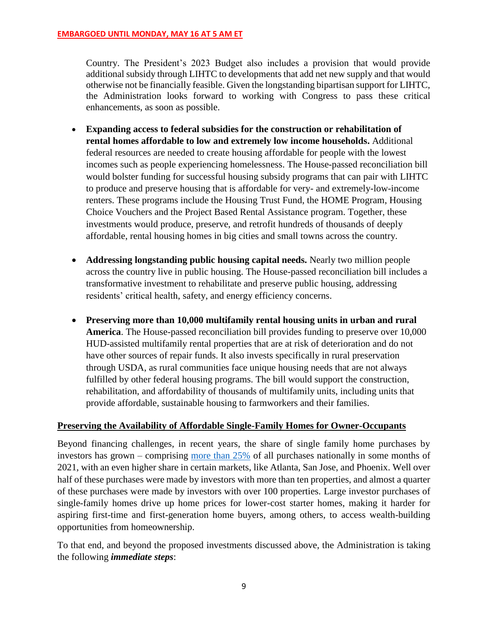Country. The President's 2023 Budget also includes a provision that would provide additional subsidy through LIHTC to developments that add net new supply and that would otherwise not be financially feasible. Given the longstanding bipartisan support for LIHTC, the Administration looks forward to working with Congress to pass these critical enhancements, as soon as possible.

- **Expanding access to federal subsidies for the construction or rehabilitation of rental homes affordable to low and extremely low income households.** Additional federal resources are needed to create housing affordable for people with the lowest incomes such as people experiencing homelessness. The House-passed reconciliation bill would bolster funding for successful housing subsidy programs that can pair with LIHTC to produce and preserve housing that is affordable for very- and extremely-low-income renters. These programs include the Housing Trust Fund, the HOME Program, Housing Choice Vouchers and the Project Based Rental Assistance program. Together, these investments would produce, preserve, and retrofit hundreds of thousands of deeply affordable, rental housing homes in big cities and small towns across the country.
- **Addressing longstanding public housing capital needs.** Nearly two million people across the country live in public housing. The House-passed reconciliation bill includes a transformative investment to rehabilitate and preserve public housing, addressing residents' critical health, safety, and energy efficiency concerns.
- **Preserving more than 10,000 multifamily rental housing units in urban and rural America**. The House-passed reconciliation bill provides funding to preserve over 10,000 HUD-assisted multifamily rental properties that are at risk of deterioration and do not have other sources of repair funds. It also invests specifically in rural preservation through USDA, as rural communities face unique housing needs that are not always fulfilled by other federal housing programs. The bill would support the construction, rehabilitation, and affordability of thousands of multifamily units, including units that provide affordable, sustainable housing to farmworkers and their families.

### **Preserving the Availability of Affordable Single-Family Homes for Owner-Occupants**

Beyond financing challenges, in recent years, the share of single family home purchases by investors has grown – comprising [more than 25%](https://www.corelogic.com/intelligence/single-family-investor-activity-remained-high-in-the-third-quarter/) of all purchases nationally in some months of 2021, with an even higher share in certain markets, like Atlanta, San Jose, and Phoenix. Well over half of these purchases were made by investors with more than ten properties, and almost a quarter of these purchases were made by investors with over 100 properties. Large investor purchases of single-family homes drive up home prices for lower-cost starter homes, making it harder for aspiring first-time and first-generation home buyers, among others, to access wealth-building opportunities from homeownership.

To that end, and beyond the proposed investments discussed above, the Administration is taking the following *immediate steps*: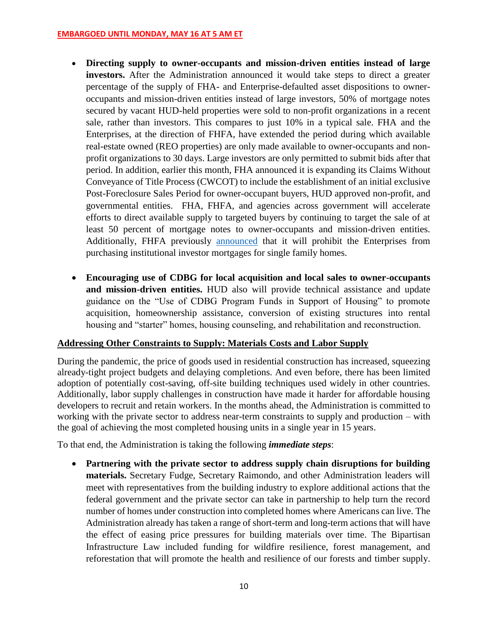- **Directing supply to owner-occupants and mission-driven entities instead of large investors.** After the Administration announced it would take steps to direct a greater percentage of the supply of FHA- and Enterprise-defaulted asset dispositions to owneroccupants and mission-driven entities instead of large investors, 50% of mortgage notes secured by vacant HUD-held properties were sold to non-profit organizations in a recent sale, rather than investors. This compares to just 10% in a typical sale. FHA and the Enterprises, at the direction of FHFA, have extended the period during which available real-estate owned (REO properties) are only made available to owner-occupants and nonprofit organizations to 30 days. Large investors are only permitted to submit bids after that period. In addition, earlier this month, FHA announced it is expanding its Claims Without Conveyance of Title Process (CWCOT) to include the establishment of an initial exclusive Post-Foreclosure Sales Period for owner-occupant buyers, HUD approved non-profit, and governmental entities. FHA, FHFA, and agencies across government will accelerate efforts to direct available supply to targeted buyers by continuing to target the sale of at least 50 percent of mortgage notes to owner-occupants and mission-driven entities. Additionally, FHFA previously [announced](https://www.fhfa.gov/Media/PublicAffairs/Pages/Fannie-Mae-and-Freddie-Mac-to-Conclude-Single-Family-Rental-Pilot-Programs.aspx) that it will prohibit the Enterprises from purchasing institutional investor mortgages for single family homes.
- **Encouraging use of CDBG for local acquisition and local sales to owner-occupants and mission-driven entities.** HUD also will provide technical assistance and update guidance on the "Use of CDBG Program Funds in Support of Housing" to promote acquisition, homeownership assistance, conversion of existing structures into rental housing and "starter" homes, housing counseling, and rehabilitation and reconstruction.

# **Addressing Other Constraints to Supply: Materials Costs and Labor Supply**

During the pandemic, the price of goods used in residential construction has increased, squeezing already-tight project budgets and delaying completions. And even before, there has been limited adoption of potentially cost-saving, off-site building techniques used widely in other countries. Additionally, labor supply challenges in construction have made it harder for affordable housing developers to recruit and retain workers. In the months ahead, the Administration is committed to working with the private sector to address near-term constraints to supply and production – with the goal of achieving the most completed housing units in a single year in 15 years.

To that end, the Administration is taking the following *immediate steps*:

• **Partnering with the private sector to address supply chain disruptions for building materials.** Secretary Fudge, Secretary Raimondo, and other Administration leaders will meet with representatives from the building industry to explore additional actions that the federal government and the private sector can take in partnership to help turn the record number of homes under construction into completed homes where Americans can live. The Administration already has taken a range of short-term and long-term actions that will have the effect of easing price pressures for building materials over time. The Bipartisan Infrastructure Law included funding for wildfire resilience, forest management, and reforestation that will promote the health and resilience of our forests and timber supply.